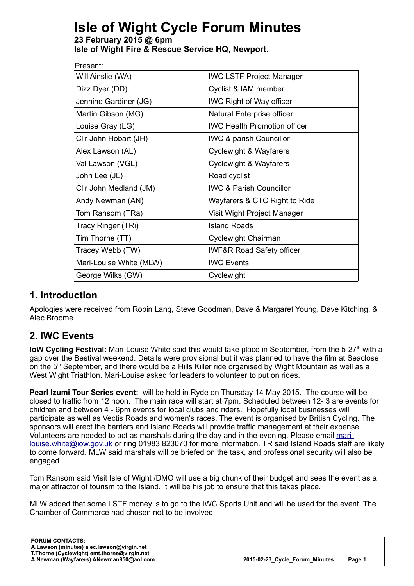# **Isle of Wight Cycle Forum Minutes**

**23 February 2015 @ 6pm Isle of Wight Fire & Rescue Service HQ, Newport.**

| Present:                |  |                                      |  |
|-------------------------|--|--------------------------------------|--|
| Will Ainslie (WA)       |  | <b>IWC LSTF Project Manager</b>      |  |
| Dizz Dyer (DD)          |  | Cyclist & IAM member                 |  |
| Jennine Gardiner (JG)   |  | <b>IWC Right of Way officer</b>      |  |
| Martin Gibson (MG)      |  | Natural Enterprise officer           |  |
| Louise Gray (LG)        |  | <b>IWC Health Promotion officer</b>  |  |
| Cllr John Hobart (JH)   |  | <b>IWC &amp; parish Councillor</b>   |  |
| Alex Lawson (AL)        |  | Cyclewight & Wayfarers               |  |
| Val Lawson (VGL)        |  | <b>Cyclewight &amp; Wayfarers</b>    |  |
| John Lee (JL)           |  | Road cyclist                         |  |
| Cllr John Medland (JM)  |  | <b>IWC &amp; Parish Councillor</b>   |  |
| Andy Newman (AN)        |  | Wayfarers & CTC Right to Ride        |  |
| Tom Ransom (TRa)        |  | Visit Wight Project Manager          |  |
| Tracy Ringer (TRi)      |  | <b>Island Roads</b>                  |  |
| Tim Thorne (TT)         |  | Cyclewight Chairman                  |  |
| Tracey Webb (TW)        |  | <b>IWF&amp;R Road Safety officer</b> |  |
| Mari-Louise White (MLW) |  | <b>IWC Events</b>                    |  |
| George Wilks (GW)       |  | Cyclewight                           |  |

#### **1. Introduction**

Apologies were received from Robin Lang, Steve Goodman, Dave & Margaret Young, Dave Kitching, & Alec Broome.

#### **2. IWC Events**

**IoW Cycling Festival:** Mari-Louise White said this would take place in September, from the 5-27<sup>th</sup> with a gap over the Bestival weekend. Details were provisional but it was planned to have the film at Seaclose on the 5<sup>th</sup> September, and there would be a Hills Killer ride organised by Wight Mountain as well as a West Wight Triathlon. Mari-Louise asked for leaders to volunteer to put on rides.

**Pearl Izumi Tour Series event:** will be held in Ryde on Thursday 14 May 2015. The course will be closed to traffic from 12 noon. The main race will start at 7pm. Scheduled between 12- 3 are events for children and between 4 - 6pm events for local clubs and riders. Hopefully local businesses will participate as well as Vectis Roads and women's races. The event is organised by British Cycling. The sponsors will erect the barriers and Island Roads will provide traffic management at their expense. Volunteers are needed to act as marshals during the day and in the evening. Please email [mari](mailto:mari-louise.white@iow.gov.uk)[louise.white@iow.gov.uk](mailto:mari-louise.white@iow.gov.uk) or ring 01983 823070 for more information. TR said Island Roads staff are likely to come forward. MLW said marshals will be briefed on the task, and professional security will also be engaged.

Tom Ransom said Visit Isle of Wight /DMO will use a big chunk of their budget and sees the event as a major attractor of tourism to the Island. It will be his job to ensure that this takes place.

MLW added that some LSTF money is to go to the IWC Sports Unit and will be used for the event. The Chamber of Commerce had chosen not to be involved.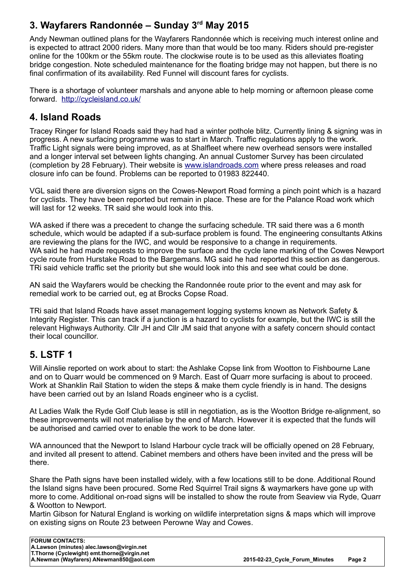# **3. Wayfarers Randonnée – Sunday 3rd May 2015**

Andy Newman outlined plans for the Wayfarers Randonnée which is receiving much interest online and is expected to attract 2000 riders. Many more than that would be too many. Riders should pre-register online for the 100km or the 55km route. The clockwise route is to be used as this alleviates floating bridge congestion. Note scheduled maintenance for the floating bridge may not happen, but there is no final confirmation of its availability. Red Funnel will discount fares for cyclists.

There is a shortage of volunteer marshals and anyone able to help morning or afternoon please come forward. <http://cycleisland.co.uk/>

#### **4. Island Roads**

Tracey Ringer for Island Roads said they had had a winter pothole blitz. Currently lining & signing was in progress. A new surfacing programme was to start in March. Traffic regulations apply to the work. Traffic Light signals were being improved, as at Shalfleet where new overhead sensors were installed and a longer interval set between lights changing. An annual Customer Survey has been circulated (completion by 28 February). Their website is [www.islandroads.com](http://www.islandroads.com/) where press releases and road closure info can be found. Problems can be reported to 01983 822440.

VGL said there are diversion signs on the Cowes-Newport Road forming a pinch point which is a hazard for cyclists. They have been reported but remain in place. These are for the Palance Road work which will last for 12 weeks. TR said she would look into this.

WA asked if there was a precedent to change the surfacing schedule. TR said there was a 6 month schedule, which would be adapted if a sub-surface problem is found. The engineering consultants Atkins are reviewing the plans for the IWC, and would be responsive to a change in requirements. WA said he had made requests to improve the surface and the cycle lane marking of the Cowes Newport cycle route from Hurstake Road to the Bargemans. MG said he had reported this section as dangerous. TRi said vehicle traffic set the priority but she would look into this and see what could be done.

AN said the Wayfarers would be checking the Randonnée route prior to the event and may ask for remedial work to be carried out, eg at Brocks Copse Road.

TRi said that Island Roads have asset management logging systems known as Network Safety & Integrity Register. This can track if a junction is a hazard to cyclists for example, but the IWC is still the relevant Highways Authority. Cllr JH and Cllr JM said that anyone with a safety concern should contact their local councillor.

#### **5. LSTF 1**

Will Ainslie reported on work about to start: the Ashlake Copse link from Wootton to Fishbourne Lane and on to Quarr would be commenced on 9 March. East of Quarr more surfacing is about to proceed. Work at Shanklin Rail Station to widen the steps & make them cycle friendly is in hand. The designs have been carried out by an Island Roads engineer who is a cyclist.

At Ladies Walk the Ryde Golf Club lease is still in negotiation, as is the Wootton Bridge re-alignment, so these improvements will not materialise by the end of March. However it is expected that the funds will be authorised and carried over to enable the work to be done later.

WA announced that the Newport to Island Harbour cycle track will be officially opened on 28 February, and invited all present to attend. Cabinet members and others have been invited and the press will be there.

Share the Path signs have been installed widely, with a few locations still to be done. Additional Round the Island signs have been procured. Some Red Squirrel Trail signs & waymarkers have gone up with more to come. Additional on-road signs will be installed to show the route from Seaview via Ryde, Quarr & Wootton to Newport.

Martin Gibson for Natural England is working on wildlife interpretation signs & maps which will improve on existing signs on Route 23 between Perowne Way and Cowes.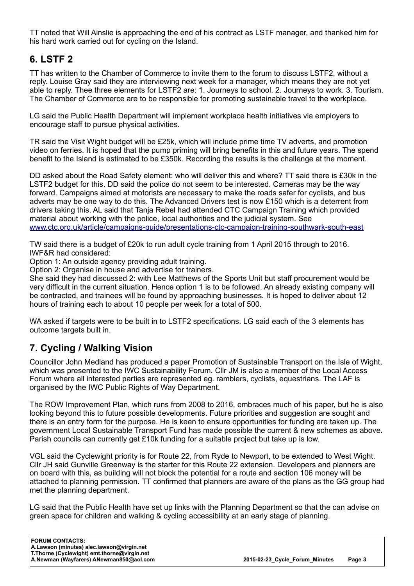TT noted that Will Ainslie is approaching the end of his contract as LSTF manager, and thanked him for his hard work carried out for cycling on the Island.

## **6. LSTF 2**

TT has written to the Chamber of Commerce to invite them to the forum to discuss LSTF2, without a reply. Louise Gray said they are interviewing next week for a manager, which means they are not yet able to reply. Thee three elements for LSTF2 are: 1. Journeys to school. 2. Journeys to work. 3. Tourism. The Chamber of Commerce are to be responsible for promoting sustainable travel to the workplace.

LG said the Public Health Department will implement workplace health initiatives via employers to encourage staff to pursue physical activities.

TR said the Visit Wight budget will be £25k, which will include prime time TV adverts, and promotion video on ferries. It is hoped that the pump priming will bring benefits in this and future years. The spend benefit to the Island is estimated to be £350k. Recording the results is the challenge at the moment.

DD asked about the Road Safety element: who will deliver this and where? TT said there is £30k in the LSTF2 budget for this. DD said the police do not seem to be interested. Cameras may be the way forward. Campaigns aimed at motorists are necessary to make the roads safer for cyclists, and bus adverts may be one way to do this. The Advanced Drivers test is now £150 which is a deterrent from drivers taking this. AL said that Tanja Rebel had attended CTC Campaign Training which provided material about working with the police, local authorities and the judicial system. See [www.ctc.org.uk/article/campaigns-guide/presentations-ctc-campaign-training-southwark-south-east](https://www.ctc.org.uk/article/campaigns-guide/presentations-ctc-campaign-training-southwark-south-east) 

TW said there is a budget of £20k to run adult cycle training from 1 April 2015 through to 2016. IWF&R had considered:

Option 1: An outside agency providing adult training.

Option 2: Organise in house and advertise for trainers.

She said they had discussed 2: with Lee Matthews of the Sports Unit but staff procurement would be very difficult in the current situation. Hence option 1 is to be followed. An already existing company will be contracted, and trainees will be found by approaching businesses. It is hoped to deliver about 12 hours of training each to about 10 people per week for a total of 500.

WA asked if targets were to be built in to LSTF2 specifications. LG said each of the 3 elements has outcome targets built in.

## **7. Cycling / Walking Vision**

Councillor John Medland has produced a paper Promotion of Sustainable Transport on the Isle of Wight, which was presented to the IWC Sustainability Forum. Cllr JM is also a member of the Local Access Forum where all interested parties are represented eg. ramblers, cyclists, equestrians. The LAF is organised by the IWC Public Rights of Way Department.

The ROW Improvement Plan, which runs from 2008 to 2016, embraces much of his paper, but he is also looking beyond this to future possible developments. Future priorities and suggestion are sought and there is an entry form for the purpose. He is keen to ensure opportunities for funding are taken up. The government Local Sustainable Transport Fund has made possible the current & new schemes as above. Parish councils can currently get £10k funding for a suitable project but take up is low.

VGL said the Cyclewight priority is for Route 22, from Ryde to Newport, to be extended to West Wight. Cllr JH said Gunville Greenway is the starter for this Route 22 extension. Developers and planners are on board with this, as building will not block the potential for a route and section 106 money will be attached to planning permission. TT confirmed that planners are aware of the plans as the GG group had met the planning department.

LG said that the Public Health have set up links with the Planning Department so that the can advise on green space for children and walking & cycling accessibility at an early stage of planning.